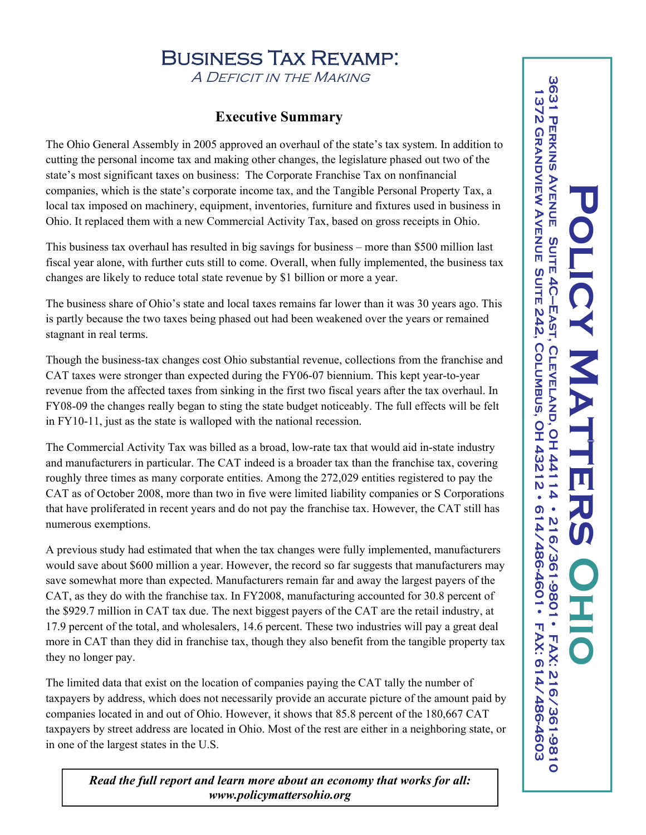## Business Tax Revamp: A Deficit in the Making

## **Executive Summary**

The Ohio General Assembly in 2005 approved an overhaul of the state's tax system. In addition to cutting the personal income tax and making other changes, the legislature phased out two of the state's most significant taxes on business: The Corporate Franchise Tax on nonfinancial companies, which is the state's corporate income tax, and the Tangible Personal Property Tax, a local tax imposed on machinery, equipment, inventories, furniture and fixtures used in business in Ohio. It replaced them with a new Commercial Activity Tax, based on gross receipts in Ohio.

This business tax overhaul has resulted in big savings for business – more than \$500 million last fiscal year alone, with further cuts still to come. Overall, when fully implemented, the business tax changes are likely to reduce total state revenue by \$1 billion or more a year.

The business share of Ohio's state and local taxes remains far lower than it was 30 years ago. This is partly because the two taxes being phased out had been weakened over the years or remained stagnant in real terms.

Though the business-tax changes cost Ohio substantial revenue, collections from the franchise and CAT taxes were stronger than expected during the FY06-07 biennium. This kept year-to-year revenue from the affected taxes from sinking in the first two fiscal years after the tax overhaul. In FY08-09 the changes really began to sting the state budget noticeably. The full effects will be felt in FY10-11, just as the state is walloped with the national recession.

The Commercial Activity Tax was billed as a broad, low-rate tax that would aid in-state industry and manufacturers in particular. The CAT indeed is a broader tax than the franchise tax, covering roughly three times as many corporate entities. Among the 272,029 entities registered to pay the CAT as of October 2008, more than two in five were limited liability companies or S Corporations that have proliferated in recent years and do not pay the franchise tax. However, the CAT still has numerous exemptions.

A previous study had estimated that when the tax changes were fully implemented, manufacturers would save about \$600 million a year. However, the record so far suggests that manufacturers may save somewhat more than expected. Manufacturers remain far and away the largest payers of the CAT, as they do with the franchise tax. In FY2008, manufacturing accounted for 30.8 percent of the \$929.7 million in CAT tax due. The next biggest payers of the CAT are the retail industry, at 17.9 percent of the total, and wholesalers, 14.6 percent. These two industries will pay a great deal more in CAT than they did in franchise tax, though they also benefit from the tangible property tax they no longer pay.

The limited data that exist on the location of companies paying the CAT tally the number of taxpayers by address, which does not necessarily provide an accurate picture of the amount paid by companies located in and out of Ohio. However, it shows that 85.8 percent of the 180,667 CAT taxpayers by street address are located in Ohio. Most of the rest are either in a neighboring state, or in one of the largest states in the U.S.

*Read the full report and learn more about an economy that works for all: www.policymattersohio.org*